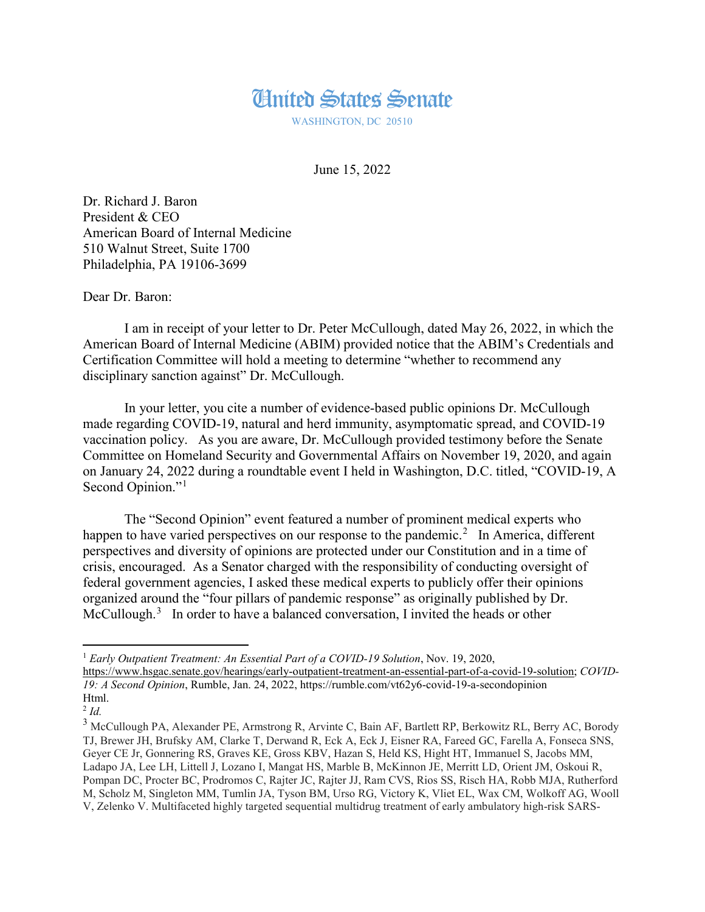

WASHINGTON, DC 20510

June 15, 2022

Dr. Richard J. Baron President & CEO American Board of Internal Medicine 510 Walnut Street, Suite 1700 Philadelphia, PA 19106-3699

Dear Dr. Baron:

I am in receipt of your letter to Dr. Peter McCullough, dated May 26, 2022, in which the American Board of Internal Medicine (ABIM) provided notice that the ABIM's Credentials and Certification Committee will hold a meeting to determine "whether to recommend any disciplinary sanction against" Dr. McCullough.

In your letter, you cite a number of evidence-based public opinions Dr. McCullough made regarding COVID-19, natural and herd immunity, asymptomatic spread, and COVID-19 vaccination policy. As you are aware, Dr. McCullough provided testimony before the Senate Committee on Homeland Security and Governmental Affairs on November 19, 2020, and again on January 24, 2022 during a roundtable event I held in Washington, D.C. titled, "COVID-19, A Second Opinion."<sup>[1](#page-0-0)</sup>

The "Second Opinion" event featured a number of prominent medical experts who happen to have varied perspectives on our response to the pandemic.<sup>[2](#page-0-1)</sup> In America, different perspectives and diversity of opinions are protected under our Constitution and in a time of crisis, encouraged. As a Senator charged with the responsibility of conducting oversight of federal government agencies, I asked these medical experts to publicly offer their opinions organized around the "four pillars of pandemic response" as originally published by Dr. McCullough.<sup>[3](#page-0-2)</sup> In order to have a balanced conversation, I invited the heads or other

<span id="page-0-0"></span> <sup>1</sup> *Early Outpatient Treatment: An Essential Part of <sup>a</sup> COVID-19 Solution*, Nov. 19, 2020,

[https://www.hsgac.senate.gov/hearings/early-outpatient-treatment-an-essential-part-of-a-covid-19-solution;](https://www.hsgac.senate.gov/hearings/early-outpatient-treatment-an-essential-part-of-a-covid-19-solution) *COVID-19: A Second Opinion*, Rumble, Jan. 24, 2022, https://rumble.com/vt62y6-covid-19-a-secondopinion Html.

<span id="page-0-1"></span><sup>2</sup> *Id.*

<span id="page-0-2"></span><sup>3</sup> McCullough PA, Alexander PE, Armstrong R, Arvinte C, Bain AF, Bartlett RP, Berkowitz RL, Berry AC, Borody TJ, Brewer JH, Brufsky AM, Clarke T, Derwand R, Eck A, Eck J, Eisner RA, Fareed GC, Farella A, Fonseca SNS, Geyer CE Jr, Gonnering RS, Graves KE, Gross KBV, Hazan S, Held KS, Hight HT, Immanuel S, Jacobs MM, Ladapo JA, Lee LH, Littell J, Lozano I, Mangat HS, Marble B, McKinnon JE, Merritt LD, Orient JM, Oskoui R, Pompan DC, Procter BC, Prodromos C, Rajter JC, Rajter JJ, Ram CVS, Rios SS, Risch HA, Robb MJA, Rutherford M, Scholz M, Singleton MM, Tumlin JA, Tyson BM, Urso RG, Victory K, Vliet EL, Wax CM, Wolkoff AG, Wooll V, Zelenko V. Multifaceted highly targeted sequential multidrug treatment of early ambulatory high-risk SARS-